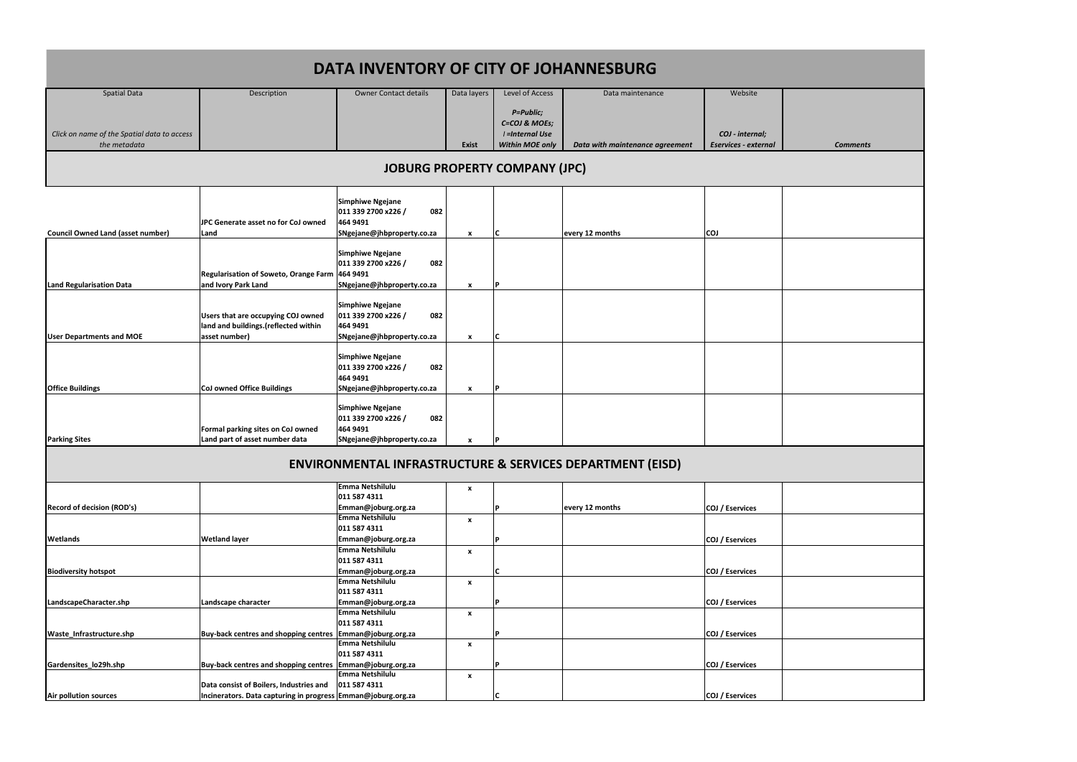| <b>Council Owned Land (asset number)</b> | <b>JPC Generate asset no for CoJ owned</b><br>Land                                          | <b>Simphiwe Ngejane</b><br>082<br>011 339 2700 x226 /<br>464 9491<br>SNgejane@jhbproperty.co.za | x                         |     | every 12 months | <b>COJ</b> |  |
|------------------------------------------|---------------------------------------------------------------------------------------------|-------------------------------------------------------------------------------------------------|---------------------------|-----|-----------------|------------|--|
| <b>Land Regularisation Data</b>          | Regularisation of Soweto, Orange Farm   464 9491<br>and Ivory Park Land                     | <b>Simphiwe Ngejane</b><br>011 339 2700 x226 /<br>082<br>SNgejane@jhbproperty.co.za             | x                         | l D |                 |            |  |
| <b>User Departments and MOE</b>          | Users that are occupying COJ owned<br>land and buildings.(reflected within<br>asset number) | <b>Simphiwe Ngejane</b><br>011 339 2700 x226 /<br>082<br>464 9491<br>SNgejane@jhbproperty.co.za | $\mathbf{x}$              |     |                 |            |  |
| <b>Office Buildings</b>                  | <b>CoJ owned Office Buildings</b>                                                           | <b>Simphiwe Ngejane</b><br>011 339 2700 x226 /<br>082<br>464 9491<br>SNgejane@jhbproperty.co.za | X                         |     |                 |            |  |
| <b>Parking Sites</b>                     | Formal parking sites on CoJ owned<br>Land part of asset number data                         | <b>Simphiwe Ngejane</b><br>011 339 2700 x226 /<br>082<br>464 9491<br>SNgejane@jhbproperty.co.za | $\boldsymbol{\mathsf{x}}$ |     |                 |            |  |

| DATA INVENTORY OF CITY OF JOHANNESBURG      |             |                       |              |                        |                                 |                      |                 |
|---------------------------------------------|-------------|-----------------------|--------------|------------------------|---------------------------------|----------------------|-----------------|
| <b>Spatial Data</b>                         | Description | Owner Contact details | Data layers  | Level of Access        | Data maintenance                | Website              |                 |
|                                             |             |                       |              | P=Public;              |                                 |                      |                 |
|                                             |             |                       |              | C=COJ & MOEs;          |                                 |                      |                 |
| Click on name of the Spatial data to access |             |                       |              | <i>I</i> =Internal Use |                                 | COJ - internal;      |                 |
| the metadata                                |             |                       | <b>Exist</b> | <b>Within MOE only</b> | Data with maintenance agreement | Eservices - external | <b>Comments</b> |
| IORIIDC DDODEDTV COMDANY (IDC)              |             |                       |              |                        |                                 |                      |                 |

|                             |                                                              | Emma Netshilulu     | $\boldsymbol{x}$          |   |                 |                 |  |
|-----------------------------|--------------------------------------------------------------|---------------------|---------------------------|---|-----------------|-----------------|--|
|                             |                                                              | 011 587 4311        |                           |   |                 |                 |  |
| Record of decision (ROD's)  |                                                              | Emman@joburg.org.za |                           |   | every 12 months | COJ / Eservices |  |
|                             |                                                              | Emma Netshilulu     | $\boldsymbol{\mathsf{x}}$ |   |                 |                 |  |
|                             |                                                              | 011 587 4311        |                           |   |                 |                 |  |
| <b>Wetlands</b>             | <b>Wetland layer</b>                                         | Emman@joburg.org.za |                           |   |                 | COJ / Eservices |  |
|                             |                                                              | Emma Netshilulu     | $\boldsymbol{x}$          |   |                 |                 |  |
|                             |                                                              | 011 587 4311        |                           |   |                 |                 |  |
| <b>Biodiversity hotspot</b> |                                                              | Emman@joburg.org.za |                           |   |                 | COJ / Eservices |  |
|                             |                                                              | Emma Netshilulu     | $\boldsymbol{\mathsf{x}}$ |   |                 |                 |  |
|                             |                                                              | 011 587 4311        |                           |   |                 |                 |  |
| LandscapeCharacter.shp      | Landscape character                                          | Emman@joburg.org.za |                           |   |                 | COJ / Eservices |  |
|                             |                                                              | Emma Netshilulu     | $\boldsymbol{\mathsf{x}}$ |   |                 |                 |  |
|                             |                                                              | 011 587 4311        |                           |   |                 |                 |  |
| Waste Infrastructure.shp    | Buy-back centres and shopping centres   Emman@joburg.org.za  |                     |                           |   |                 | COJ / Eservices |  |
|                             |                                                              | Emma Netshilulu     | X                         |   |                 |                 |  |
|                             |                                                              | 011 587 4311        |                           |   |                 |                 |  |
| Gardensites lo29h.shp       | Buy-back centres and shopping centres   Emman@joburg.org.za  |                     |                           | D |                 | COJ / Eservices |  |
|                             |                                                              | Emma Netshilulu     | $\boldsymbol{\mathsf{x}}$ |   |                 |                 |  |
|                             | Data consist of Boilers, Industries and                      | 011 587 4311        |                           |   |                 |                 |  |
| Air pollution sources       | Incinerators. Data capturing in progress Emman@joburg.org.za |                     |                           |   |                 | COJ / Eservices |  |

| <b>Comments</b> |  |
|-----------------|--|
|                 |  |
|                 |  |
|                 |  |
|                 |  |
|                 |  |
|                 |  |
|                 |  |
|                 |  |
|                 |  |
|                 |  |
|                 |  |
|                 |  |
|                 |  |
|                 |  |

## **JOBURG PROPERTY COMPANY (JPC)**

## **ENVIRONMENTAL INFRASTRUCTURE & SERVICES DEPARTMENT (EISD)**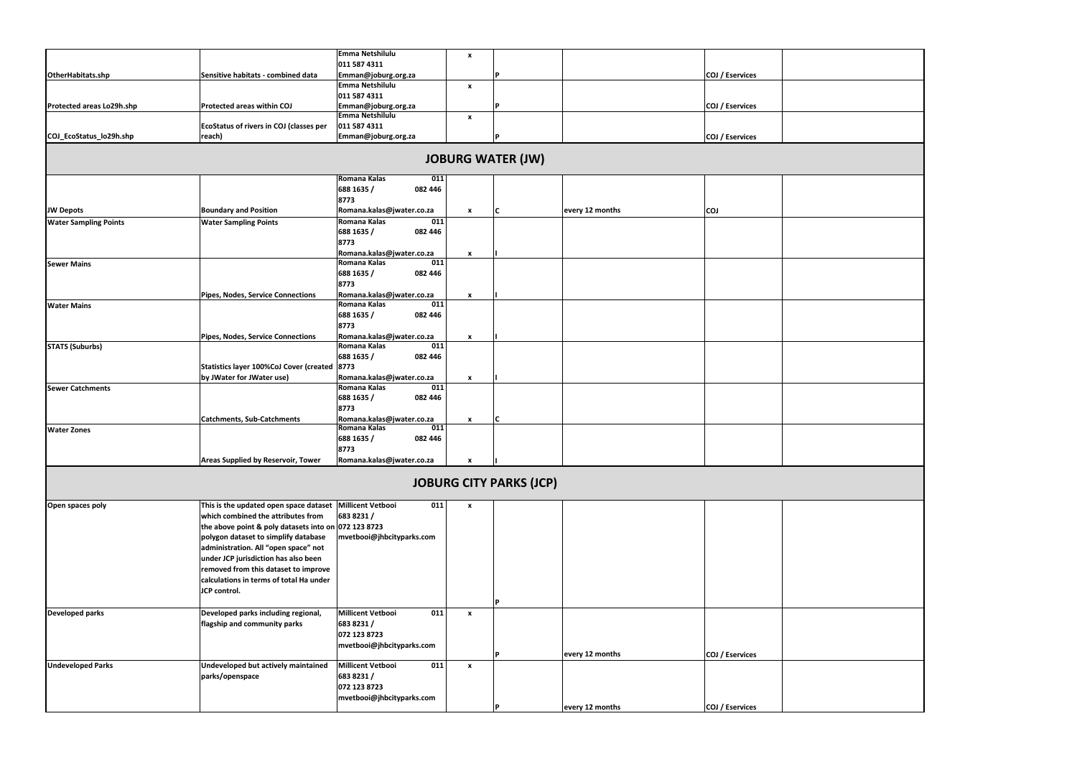|                              |                                                          | Emma Netshilulu                                  | $\pmb{\chi}$     |                                |                 |                 |  |
|------------------------------|----------------------------------------------------------|--------------------------------------------------|------------------|--------------------------------|-----------------|-----------------|--|
|                              |                                                          | 011 587 4311                                     |                  |                                |                 |                 |  |
| OtherHabitats.shp            | Sensitive habitats - combined data                       | Emman@joburg.org.za                              |                  |                                |                 | COJ / Eservices |  |
|                              |                                                          | Emma Netshilulu<br>011 587 4311                  | $\boldsymbol{x}$ |                                |                 |                 |  |
| Protected areas Lo29h.shp    | <b>Protected areas within COJ</b>                        | Emman@joburg.org.za                              |                  | Þ                              |                 | COJ / Eservices |  |
|                              |                                                          | Emma Netshilulu                                  | $\pmb{\chi}$     |                                |                 |                 |  |
|                              | EcoStatus of rivers in COJ (classes per                  | 011 587 4311                                     |                  |                                |                 |                 |  |
| COJ_EcoStatus_lo29h.shp      | reach)                                                   | Emman@joburg.org.za                              |                  | Þ                              |                 | COJ / Eservices |  |
|                              |                                                          |                                                  |                  | <b>JOBURG WATER (JW)</b>       |                 |                 |  |
|                              |                                                          | Romana Kalas<br>011                              |                  |                                |                 |                 |  |
|                              |                                                          | 688 1635 /<br>082 446                            |                  |                                |                 |                 |  |
|                              |                                                          | 8773                                             |                  |                                |                 |                 |  |
| <b>JW Depots</b>             | <b>Boundary and Position</b>                             | Romana.kalas@jwater.co.za                        | $\pmb{\chi}$     | C                              | every 12 months | <b>COJ</b>      |  |
| <b>Water Sampling Points</b> | <b>Water Sampling Points</b>                             | Romana Kalas<br>011                              |                  |                                |                 |                 |  |
|                              |                                                          | 688 1635 /<br>082 446                            |                  |                                |                 |                 |  |
|                              |                                                          | 8773                                             |                  |                                |                 |                 |  |
|                              |                                                          | Romana.kalas@jwater.co.za                        | $\pmb{\chi}$     |                                |                 |                 |  |
| <b>Sewer Mains</b>           |                                                          | Romana Kalas<br>011<br>688 1635 /<br>082 446     |                  |                                |                 |                 |  |
|                              |                                                          | 8773                                             |                  |                                |                 |                 |  |
|                              | Pipes, Nodes, Service Connections                        | Romana.kalas@jwater.co.za                        | $\pmb{\chi}$     |                                |                 |                 |  |
| <b>Water Mains</b>           |                                                          | Romana Kalas<br>011                              |                  |                                |                 |                 |  |
|                              |                                                          | 688 1635 /<br>082 446                            |                  |                                |                 |                 |  |
|                              |                                                          | 8773                                             |                  |                                |                 |                 |  |
|                              | Pipes, Nodes, Service Connections                        | Romana.kalas@jwater.co.za                        | $\pmb{\chi}$     |                                |                 |                 |  |
| <b>STATS (Suburbs)</b>       |                                                          | Romana Kalas<br>011                              |                  |                                |                 |                 |  |
|                              |                                                          | 688 1635 /<br>082 446                            |                  |                                |                 |                 |  |
|                              | Statistics layer 100%CoJ Cover (created 8773             |                                                  |                  |                                |                 |                 |  |
|                              | by JWater for JWater use)                                | Romana.kalas@jwater.co.za<br>Romana Kalas<br>011 | $\pmb{\chi}$     |                                |                 |                 |  |
| <b>Sewer Catchments</b>      |                                                          | 688 1635 /<br>082 446                            |                  |                                |                 |                 |  |
|                              |                                                          | 8773                                             |                  |                                |                 |                 |  |
|                              | <b>Catchments, Sub-Catchments</b>                        | Romana.kalas@jwater.co.za                        | $\mathbf{x}$     | C                              |                 |                 |  |
| <b>Water Zones</b>           |                                                          | Romana Kalas<br>011                              |                  |                                |                 |                 |  |
|                              |                                                          | 688 1635 /<br>082 446                            |                  |                                |                 |                 |  |
|                              |                                                          | 8773                                             |                  |                                |                 |                 |  |
|                              | <b>Areas Supplied by Reservoir, Tower</b>                | Romana.kalas@jwater.co.za                        | $\pmb{\chi}$     |                                |                 |                 |  |
|                              |                                                          |                                                  |                  | <b>JOBURG CITY PARKS (JCP)</b> |                 |                 |  |
| Open spaces poly             | This is the updated open space dataset Millicent Vetbooi | 011                                              | $\mathbf{x}$     |                                |                 |                 |  |
|                              | which combined the attributes from                       | 683 8231 /                                       |                  |                                |                 |                 |  |
|                              | the above point & poly datasets into on 072 123 8723     |                                                  |                  |                                |                 |                 |  |
|                              | polygon dataset to simplify database                     | mvetbooi@jhbcityparks.com                        |                  |                                |                 |                 |  |
|                              | administration. All "open space" not                     |                                                  |                  |                                |                 |                 |  |
|                              | under JCP jurisdiction has also been                     |                                                  |                  |                                |                 |                 |  |
|                              | removed from this dataset to improve                     |                                                  |                  |                                |                 |                 |  |
|                              | calculations in terms of total Ha under<br>JCP control.  |                                                  |                  |                                |                 |                 |  |
|                              |                                                          |                                                  |                  | P                              |                 |                 |  |
| <b>Developed parks</b>       | Developed parks including regional,                      | <b>Millicent Vetbooi</b><br>011                  | $\mathbf{x}$     |                                |                 |                 |  |
|                              | flagship and community parks                             | 683 8231 /                                       |                  |                                |                 |                 |  |
|                              |                                                          | 072 123 8723                                     |                  |                                |                 |                 |  |
|                              |                                                          | mvetbooi@jhbcityparks.com                        |                  |                                |                 |                 |  |
|                              |                                                          |                                                  |                  | D                              | every 12 months | COJ / Eservices |  |
| <b>Undeveloped Parks</b>     | Undeveloped but actively maintained                      | <b>Millicent Vetbooi</b><br>011                  | $\mathbf{x}$     |                                |                 |                 |  |
|                              | parks/openspace                                          | 683 8231 /                                       |                  |                                |                 |                 |  |
|                              |                                                          | 072 123 8723                                     |                  |                                |                 |                 |  |
|                              |                                                          | mvetbooi@jhbcityparks.com                        |                  | D                              |                 |                 |  |
|                              |                                                          |                                                  |                  |                                | every 12 months | COJ / Eservices |  |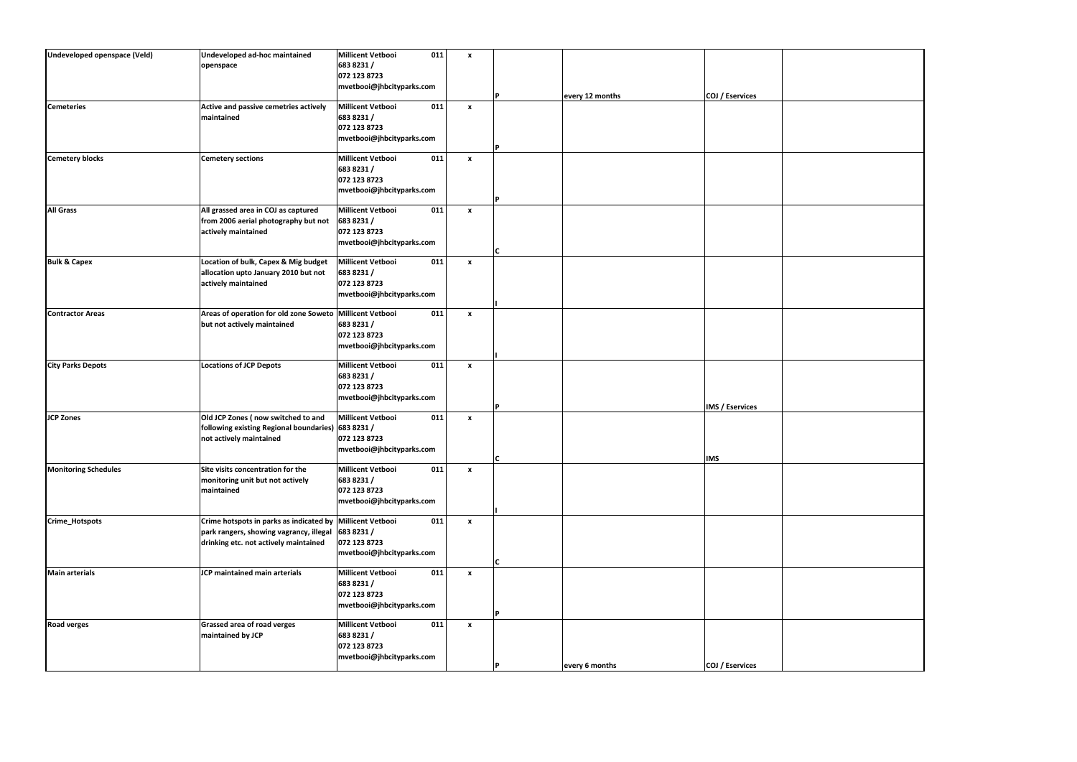| Undeveloped openspace (Veld) | Undeveloped ad-hoc maintained                             | <b>Millicent Vetbooi</b>  | 011<br>$\mathbf{x}$              |     |                 |                        |  |
|------------------------------|-----------------------------------------------------------|---------------------------|----------------------------------|-----|-----------------|------------------------|--|
|                              | openspace                                                 | 683 8231 /                |                                  |     |                 |                        |  |
|                              |                                                           | 072 123 8723              |                                  |     |                 |                        |  |
|                              |                                                           | mvetbooi@jhbcityparks.com |                                  |     |                 |                        |  |
|                              |                                                           |                           |                                  |     | every 12 months | COJ / Eservices        |  |
| <b>Cemeteries</b>            | Active and passive cemetries actively                     | <b>Millicent Vetbooi</b>  | 011<br>$\boldsymbol{\mathsf{x}}$ |     |                 |                        |  |
|                              | maintained                                                | 683 8231 /                |                                  |     |                 |                        |  |
|                              |                                                           | 072 123 8723              |                                  |     |                 |                        |  |
|                              |                                                           | mvetbooi@jhbcityparks.com |                                  |     |                 |                        |  |
|                              |                                                           |                           |                                  | D   |                 |                        |  |
| <b>Cemetery blocks</b>       | <b>Cemetery sections</b>                                  | <b>Millicent Vetbooi</b>  | 011<br>$\pmb{\chi}$              |     |                 |                        |  |
|                              |                                                           | 683 8231 /                |                                  |     |                 |                        |  |
|                              |                                                           |                           |                                  |     |                 |                        |  |
|                              |                                                           | 072 123 8723              |                                  |     |                 |                        |  |
|                              |                                                           | mvetbooi@jhbcityparks.com |                                  | P   |                 |                        |  |
|                              |                                                           |                           |                                  |     |                 |                        |  |
| <b>All Grass</b>             | All grassed area in COJ as captured                       | <b>Millicent Vetbooi</b>  | 011<br>$\boldsymbol{x}$          |     |                 |                        |  |
|                              | from 2006 aerial photography but not                      | 683 8231 /                |                                  |     |                 |                        |  |
|                              | actively maintained                                       | 072 123 8723              |                                  |     |                 |                        |  |
|                              |                                                           | mvetbooi@jhbcityparks.com |                                  |     |                 |                        |  |
|                              |                                                           |                           |                                  | C   |                 |                        |  |
| <b>Bulk &amp; Capex</b>      | Location of bulk, Capex & Mig budget                      | <b>Millicent Vetbooi</b>  | 011<br>$\mathbf{x}$              |     |                 |                        |  |
|                              | allocation upto January 2010 but not                      | 683 8231 /                |                                  |     |                 |                        |  |
|                              | actively maintained                                       | 072 123 8723              |                                  |     |                 |                        |  |
|                              |                                                           | mvetbooi@jhbcityparks.com |                                  |     |                 |                        |  |
|                              |                                                           |                           |                                  |     |                 |                        |  |
| <b>Contractor Areas</b>      | Areas of operation for old zone Soweto Millicent Vetbooi  |                           | 011<br>$\mathbf{x}$              |     |                 |                        |  |
|                              | but not actively maintained                               | 683 8231 /                |                                  |     |                 |                        |  |
|                              |                                                           | 072 123 8723              |                                  |     |                 |                        |  |
|                              |                                                           | mvetbooi@jhbcityparks.com |                                  |     |                 |                        |  |
|                              |                                                           |                           |                                  |     |                 |                        |  |
| <b>City Parks Depots</b>     | <b>Locations of JCP Depots</b>                            | <b>Millicent Vetbooi</b>  | 011<br>$\mathbf{x}$              |     |                 |                        |  |
|                              |                                                           | 683 8231 /                |                                  |     |                 |                        |  |
|                              |                                                           | 072 123 8723              |                                  |     |                 |                        |  |
|                              |                                                           | mvetbooi@jhbcityparks.com |                                  |     |                 |                        |  |
|                              |                                                           |                           |                                  | D   |                 | <b>IMS / Eservices</b> |  |
| <b>JCP Zones</b>             | Old JCP Zones (now switched to and                        | <b>Millicent Vetbooi</b>  | 011<br>$\mathbf{x}$              |     |                 |                        |  |
|                              | following existing Regional boundaries) 683 8231 /        |                           |                                  |     |                 |                        |  |
|                              | not actively maintained                                   | 072 123 8723              |                                  |     |                 |                        |  |
|                              |                                                           |                           |                                  |     |                 |                        |  |
|                              |                                                           | mvetbooi@jhbcityparks.com |                                  | lC. |                 | <b>IMS</b>             |  |
| <b>Monitoring Schedules</b>  | Site visits concentration for the                         | Millicent Vetbooi         | 011<br>$\pmb{\chi}$              |     |                 |                        |  |
|                              |                                                           |                           |                                  |     |                 |                        |  |
|                              | monitoring unit but not actively                          | 683 8231 /                |                                  |     |                 |                        |  |
|                              | maintained                                                | 072 123 8723              |                                  |     |                 |                        |  |
|                              |                                                           | mvetbooi@jhbcityparks.com |                                  |     |                 |                        |  |
|                              |                                                           |                           |                                  |     |                 |                        |  |
| Crime_Hotspots               | Crime hotspots in parks as indicated by Millicent Vetbooi |                           | 011<br>$\mathbf{x}$              |     |                 |                        |  |
|                              | park rangers, showing vagrancy, illegal                   | 683 8231 /                |                                  |     |                 |                        |  |
|                              | drinking etc. not actively maintained                     | 072 123 8723              |                                  |     |                 |                        |  |
|                              |                                                           | mvetbooi@jhbcityparks.com |                                  |     |                 |                        |  |
|                              |                                                           |                           |                                  | C   |                 |                        |  |
| <b>Main arterials</b>        | JCP maintained main arterials                             | <b>Millicent Vetbooi</b>  | 011<br>$\boldsymbol{x}$          |     |                 |                        |  |
|                              |                                                           | 683 8231 /                |                                  |     |                 |                        |  |
|                              |                                                           | 072 123 8723              |                                  |     |                 |                        |  |
|                              |                                                           | mvetbooi@jhbcityparks.com |                                  |     |                 |                        |  |
|                              |                                                           |                           |                                  |     |                 |                        |  |
| <b>Road verges</b>           | Grassed area of road verges                               | <b>Millicent Vetbooi</b>  | 011<br>$\mathbf{x}$              |     |                 |                        |  |
|                              | maintained by JCP                                         | 683 8231 /                |                                  |     |                 |                        |  |
|                              |                                                           | 072 123 8723              |                                  |     |                 |                        |  |
|                              |                                                           | mvetbooi@jhbcityparks.com |                                  |     |                 |                        |  |
|                              |                                                           |                           |                                  |     | every 6 months  | COJ / Eservices        |  |
|                              |                                                           |                           |                                  |     |                 |                        |  |

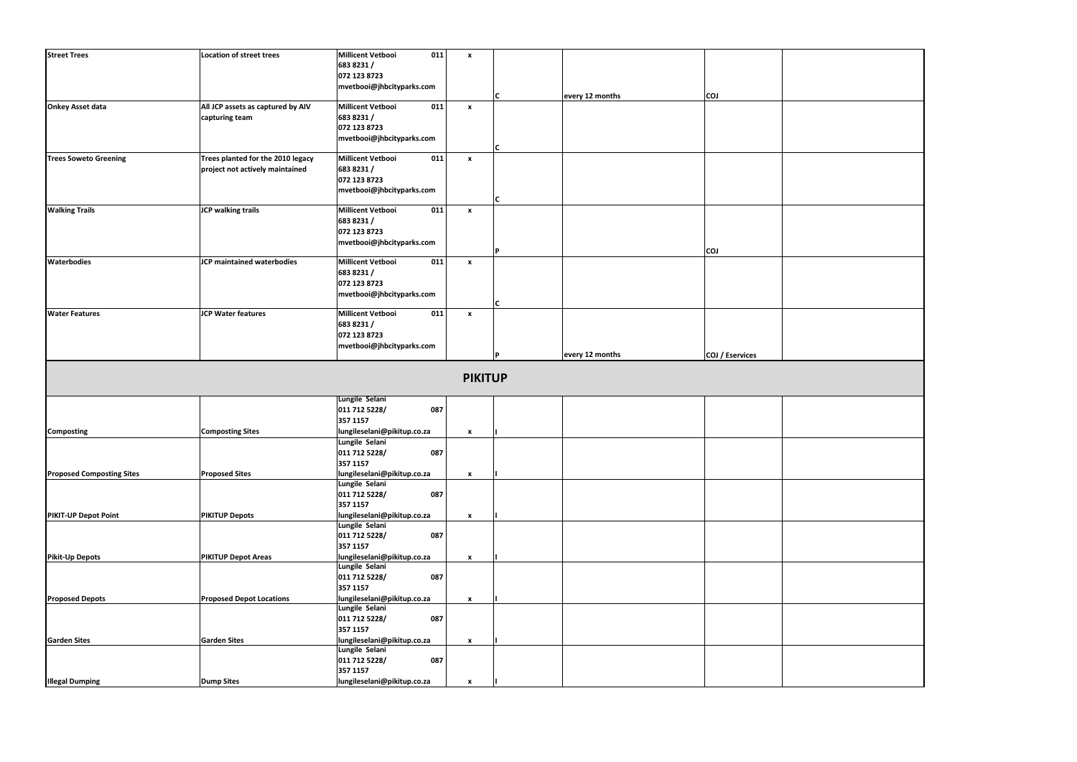| <b>Street Trees</b>                            | <b>Location of street trees</b>   | Millicent Vetbooi<br>011                      | $\mathbf{x}$       |   |                 |                 |  |
|------------------------------------------------|-----------------------------------|-----------------------------------------------|--------------------|---|-----------------|-----------------|--|
|                                                |                                   | 683 8231 /                                    |                    |   |                 |                 |  |
|                                                |                                   | 072 123 8723                                  |                    |   |                 |                 |  |
|                                                |                                   | mvetbooi@jhbcityparks.com                     |                    |   |                 |                 |  |
|                                                |                                   |                                               |                    |   | every 12 months | <b>COJ</b>      |  |
| <b>Onkey Asset data</b>                        | All JCP assets as captured by AIV | 011<br><b>Millicent Vetbooi</b>               | $\mathbf{x}$       |   |                 |                 |  |
|                                                | capturing team                    | 683 8231 /                                    |                    |   |                 |                 |  |
|                                                |                                   | 072 123 8723                                  |                    |   |                 |                 |  |
|                                                |                                   | mvetbooi@jhbcityparks.com                     |                    |   |                 |                 |  |
|                                                |                                   |                                               |                    | C |                 |                 |  |
| <b>Trees Soweto Greening</b>                   | Trees planted for the 2010 legacy | 011<br><b>Millicent Vetbooi</b>               | $\boldsymbol{x}$   |   |                 |                 |  |
|                                                | project not actively maintained   | 683 8231 /                                    |                    |   |                 |                 |  |
|                                                |                                   | 072 123 8723                                  |                    |   |                 |                 |  |
|                                                |                                   | mvetbooi@jhbcityparks.com                     |                    |   |                 |                 |  |
|                                                |                                   |                                               |                    |   |                 |                 |  |
| <b>Walking Trails</b>                          | <b>JCP walking trails</b>         | <b>Millicent Vetbooi</b><br>011               | $\mathbf{x}$       |   |                 |                 |  |
|                                                |                                   | 683 8231 /                                    |                    |   |                 |                 |  |
|                                                |                                   | 072 123 8723                                  |                    |   |                 |                 |  |
|                                                |                                   | mvetbooi@jhbcityparks.com                     |                    |   |                 |                 |  |
|                                                |                                   |                                               |                    | D |                 | <b>COJ</b>      |  |
| <b>Waterbodies</b>                             | JCP maintained waterbodies        | <b>Millicent Vetbooi</b><br>011               | $\mathbf{x}$       |   |                 |                 |  |
|                                                |                                   | 683 8231 /                                    |                    |   |                 |                 |  |
|                                                |                                   | 072 123 8723                                  |                    |   |                 |                 |  |
|                                                |                                   | mvetbooi@jhbcityparks.com                     |                    |   |                 |                 |  |
|                                                |                                   |                                               |                    | C |                 |                 |  |
| <b>Water Features</b>                          | <b>JCP Water features</b>         | 011<br><b>Millicent Vetbooi</b>               | $\mathbf{x}$       |   |                 |                 |  |
|                                                |                                   | 683 8231 /                                    |                    |   |                 |                 |  |
|                                                |                                   | 072 123 8723                                  |                    |   |                 |                 |  |
|                                                |                                   | mvetbooi@jhbcityparks.com                     |                    |   |                 |                 |  |
|                                                |                                   |                                               |                    |   | every 12 months | COJ / Eservices |  |
|                                                |                                   |                                               | <b>PIKITUP</b>     |   |                 |                 |  |
|                                                |                                   |                                               |                    |   |                 |                 |  |
|                                                |                                   | Lungile Selani                                |                    |   |                 |                 |  |
|                                                |                                   | 011 712 5228/<br>087                          |                    |   |                 |                 |  |
|                                                |                                   | 357 1157                                      |                    |   |                 |                 |  |
|                                                | <b>Composting Sites</b>           | lungileselani@pikitup.co.za                   | $\boldsymbol{x}$   |   |                 |                 |  |
|                                                |                                   | Lungile Selani                                |                    |   |                 |                 |  |
|                                                |                                   | 011 712 5228/<br>087                          |                    |   |                 |                 |  |
|                                                |                                   | 357 1157                                      |                    |   |                 |                 |  |
| Composting<br><b>Proposed Composting Sites</b> | <b>Proposed Sites</b>             | lungileselani@pikitup.co.za                   | $\mathbf{x}$       |   |                 |                 |  |
|                                                |                                   | Lungile Selani                                |                    |   |                 |                 |  |
|                                                |                                   | 011 712 5228/<br>087                          |                    |   |                 |                 |  |
|                                                |                                   | 357 1157                                      |                    |   |                 |                 |  |
|                                                | <b>PIKITUP Depots</b>             | lungileselani@pikitup.co.za                   | $\pmb{\mathsf{x}}$ |   |                 |                 |  |
|                                                |                                   | Lungile Selani                                |                    |   |                 |                 |  |
|                                                |                                   | 011 712 5228/<br>087                          |                    |   |                 |                 |  |
| <b>PIKIT-UP Depot Point</b>                    |                                   | 357 1157                                      |                    |   |                 |                 |  |
| <b>Pikit-Up Depots</b>                         | <b>PIKITUP Depot Areas</b>        | lungileselani@pikitup.co.za                   | $\pmb{\mathsf{x}}$ |   |                 |                 |  |
|                                                |                                   | Lungile Selani                                |                    |   |                 |                 |  |
|                                                |                                   | 011 712 5228/<br>087                          |                    |   |                 |                 |  |
|                                                |                                   | 357 1157                                      |                    |   |                 |                 |  |
| <b>Proposed Depots</b>                         | <b>Proposed Depot Locations</b>   | lungileselani@pikitup.co.za<br>Lungile Selani | x                  |   |                 |                 |  |
|                                                |                                   | 011 712 5228/<br>087                          |                    |   |                 |                 |  |
|                                                |                                   | 357 1157                                      |                    |   |                 |                 |  |
|                                                |                                   |                                               | $\pmb{\mathsf{x}}$ |   |                 |                 |  |
| <b>Garden Sites</b>                            | <b>Garden Sites</b>               | lungileselani@pikitup.co.za<br>Lungile Selani |                    |   |                 |                 |  |
|                                                |                                   | 011 712 5228/<br>087                          |                    |   |                 |                 |  |
|                                                |                                   | 357 1157                                      |                    |   |                 |                 |  |

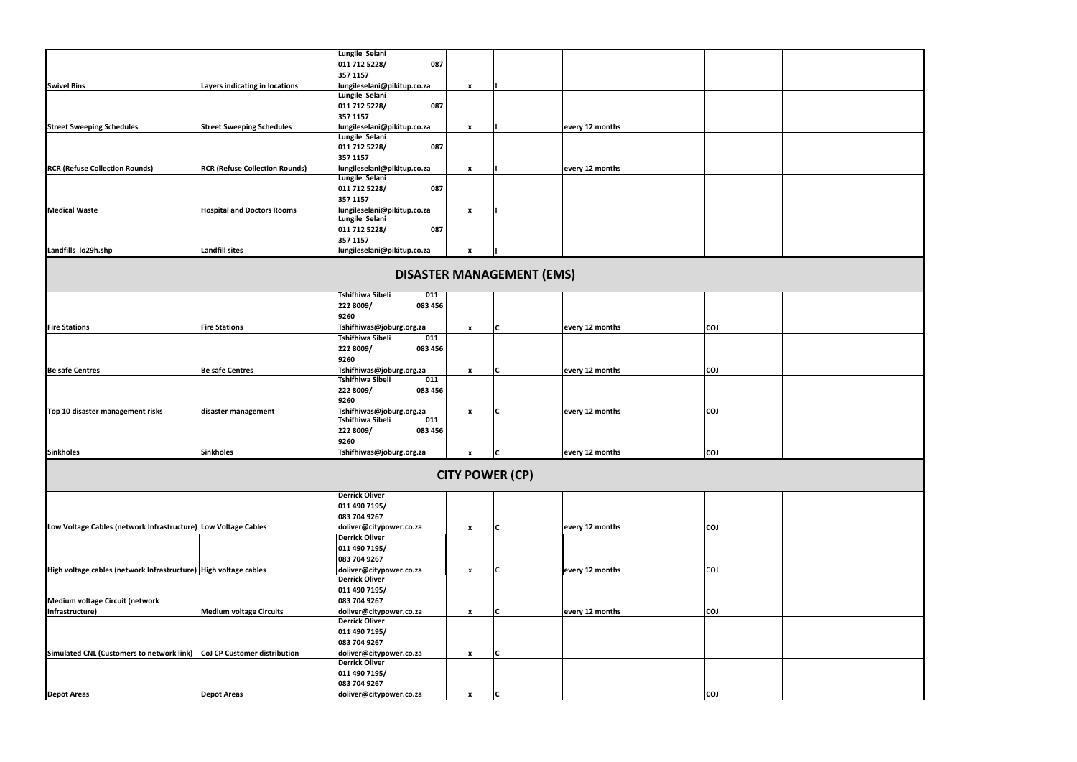|                                                                        |                                       | Lungile Selani                                   |                    |                        |                 |            |  |
|------------------------------------------------------------------------|---------------------------------------|--------------------------------------------------|--------------------|------------------------|-----------------|------------|--|
|                                                                        |                                       | 011 712 5228/<br>087                             |                    |                        |                 |            |  |
|                                                                        |                                       | 357 1157                                         |                    |                        |                 |            |  |
| <b>Swivel Bins</b>                                                     | Layers indicating in locations        | lungileselani@pikitup.co.za                      | X                  |                        |                 |            |  |
|                                                                        |                                       | Lungile Selani                                   |                    |                        |                 |            |  |
|                                                                        |                                       | 011 712 5228/<br>087                             |                    |                        |                 |            |  |
|                                                                        |                                       | 357 1157                                         |                    |                        |                 |            |  |
| <b>Street Sweeping Schedules</b>                                       | <b>Street Sweeping Schedules</b>      | lungileselani@pikitup.co.za                      | X                  |                        | every 12 months |            |  |
|                                                                        |                                       | Lungile Selani<br>011 712 5228/                  |                    |                        |                 |            |  |
|                                                                        |                                       | 087                                              |                    |                        |                 |            |  |
|                                                                        |                                       | 357 1157                                         |                    |                        |                 |            |  |
| <b>RCR (Refuse Collection Rounds)</b>                                  | <b>RCR (Refuse Collection Rounds)</b> | lungileselani@pikitup.co.za<br>Lungile Selani    | X                  |                        | every 12 months |            |  |
|                                                                        |                                       | 011 712 5228/<br>087                             |                    |                        |                 |            |  |
|                                                                        |                                       | 357 1157                                         |                    |                        |                 |            |  |
| <b>Medical Waste</b>                                                   | <b>Hospital and Doctors Rooms</b>     | lungileselani@pikitup.co.za                      | X                  |                        |                 |            |  |
|                                                                        |                                       | Lungile Selani                                   |                    |                        |                 |            |  |
|                                                                        |                                       | 011 712 5228/<br>087                             |                    |                        |                 |            |  |
|                                                                        |                                       | 357 1157                                         |                    |                        |                 |            |  |
| Landfills_lo29h.shp                                                    | <b>Landfill sites</b>                 | lungileselani@pikitup.co.za                      | X                  |                        |                 |            |  |
|                                                                        |                                       |                                                  |                    |                        |                 |            |  |
|                                                                        |                                       | <b>DISASTER MANAGEMENT (EMS)</b>                 |                    |                        |                 |            |  |
|                                                                        |                                       |                                                  |                    |                        |                 |            |  |
|                                                                        |                                       | <b>Tshifhiwa Sibeli</b><br>011                   |                    |                        |                 |            |  |
|                                                                        |                                       | 222 8009/<br>083 456                             |                    |                        |                 |            |  |
|                                                                        |                                       | 9260                                             |                    |                        |                 |            |  |
| <b>Fire Stations</b>                                                   | <b>Fire Stations</b>                  | Tshifhiwas@joburg.org.za                         | $\mathbf{x}$       | C                      | every 12 months | <b>COJ</b> |  |
|                                                                        |                                       | <b>Tshifhiwa Sibeli</b><br>011                   |                    |                        |                 |            |  |
|                                                                        |                                       | 222 8009/<br>083 456                             |                    |                        |                 |            |  |
|                                                                        |                                       | 9260                                             |                    |                        |                 |            |  |
| Be safe Centres                                                        | <b>Be safe Centres</b>                | Tshifhiwas@joburg.org.za                         | $\mathbf{x}$       | C                      | every 12 months | <b>COJ</b> |  |
|                                                                        |                                       | <b>Tshifhiwa Sibeli</b><br>011                   |                    |                        |                 |            |  |
|                                                                        |                                       | 222 8009/<br>083 456                             |                    |                        |                 |            |  |
|                                                                        |                                       | 9260                                             |                    |                        |                 |            |  |
| Top 10 disaster management risks                                       | disaster management                   | Tshifhiwas@joburg.org.za                         | X                  | C                      | every 12 months | <b>COJ</b> |  |
|                                                                        |                                       | <b>Tshifhiwa Sibeli</b><br>011                   |                    |                        |                 |            |  |
|                                                                        |                                       | 222 8009/<br>083 456                             |                    |                        |                 |            |  |
|                                                                        |                                       | 9260                                             |                    |                        |                 |            |  |
| <b>Sinkholes</b>                                                       | <b>Sinkholes</b>                      | Tshifhiwas@joburg.org.za                         |                    | IC                     | every 12 months | <b>CO1</b> |  |
|                                                                        |                                       |                                                  |                    |                        |                 |            |  |
|                                                                        |                                       |                                                  |                    | <b>CITY POWER (CP)</b> |                 |            |  |
|                                                                        |                                       |                                                  |                    |                        |                 |            |  |
|                                                                        |                                       | <b>Derrick Oliver</b>                            |                    |                        |                 |            |  |
|                                                                        |                                       | 011 490 7195/                                    |                    |                        |                 |            |  |
|                                                                        |                                       | 083 704 9267                                     |                    |                        |                 |            |  |
| Low Voltage Cables (network Infrastructure) Low Voltage Cables         |                                       | doliver@citypower.co.za                          | $\mathbf{x}$       | C                      | every 12 months | <b>COJ</b> |  |
|                                                                        |                                       | <b>Derrick Oliver</b>                            |                    |                        |                 |            |  |
|                                                                        |                                       | 011 490 7195/                                    |                    |                        |                 |            |  |
|                                                                        |                                       | 083 704 9267                                     |                    |                        |                 |            |  |
| High voltage cables (network Infrastructure) High voltage cables       |                                       | doliver@citypower.co.za                          | x                  |                        | every 12 months | <b>COJ</b> |  |
|                                                                        |                                       | <b>Derrick Oliver</b>                            |                    |                        |                 |            |  |
|                                                                        |                                       | 011 490 7195/                                    |                    |                        |                 |            |  |
| Medium voltage Circuit (network                                        |                                       | 083 704 9267                                     |                    |                        |                 |            |  |
| Infrastructure)                                                        | <b>Medium voltage Circuits</b>        | doliver@citypower.co.za                          | X                  | C                      | every 12 months | <b>COJ</b> |  |
|                                                                        |                                       | <b>Derrick Oliver</b>                            |                    |                        |                 |            |  |
|                                                                        |                                       | 011 490 7195/                                    |                    |                        |                 |            |  |
|                                                                        |                                       | 083 704 9267                                     |                    |                        |                 |            |  |
| Simulated CNL (Customers to network link) CoJ CP Customer distribution |                                       | doliver@citypower.co.za<br><b>Derrick Oliver</b> | $\pmb{\mathsf{x}}$ | C                      |                 |            |  |
|                                                                        |                                       | 011 490 7195/                                    |                    |                        |                 |            |  |
|                                                                        |                                       | 083 704 9267                                     |                    |                        |                 |            |  |
| <b>Depot Areas</b>                                                     | <b>Depot Areas</b>                    | doliver@citypower.co.za                          | $\pmb{\chi}$       | C                      |                 | <b>COJ</b> |  |
|                                                                        |                                       |                                                  |                    |                        |                 |            |  |

| <u> 1989 - Johann Stoff, deutscher Stoffen und der Stoffen und der Stoffen und der Stoffen und der Stoffen und der</u> |  |  |
|------------------------------------------------------------------------------------------------------------------------|--|--|
|                                                                                                                        |  |  |
| and the control of the control of the                                                                                  |  |  |
|                                                                                                                        |  |  |
|                                                                                                                        |  |  |
|                                                                                                                        |  |  |
|                                                                                                                        |  |  |
|                                                                                                                        |  |  |
|                                                                                                                        |  |  |
|                                                                                                                        |  |  |
|                                                                                                                        |  |  |
|                                                                                                                        |  |  |
|                                                                                                                        |  |  |
|                                                                                                                        |  |  |
|                                                                                                                        |  |  |
|                                                                                                                        |  |  |
|                                                                                                                        |  |  |
|                                                                                                                        |  |  |
|                                                                                                                        |  |  |
|                                                                                                                        |  |  |
|                                                                                                                        |  |  |
|                                                                                                                        |  |  |
|                                                                                                                        |  |  |
|                                                                                                                        |  |  |
|                                                                                                                        |  |  |
|                                                                                                                        |  |  |
|                                                                                                                        |  |  |
|                                                                                                                        |  |  |
|                                                                                                                        |  |  |
|                                                                                                                        |  |  |
|                                                                                                                        |  |  |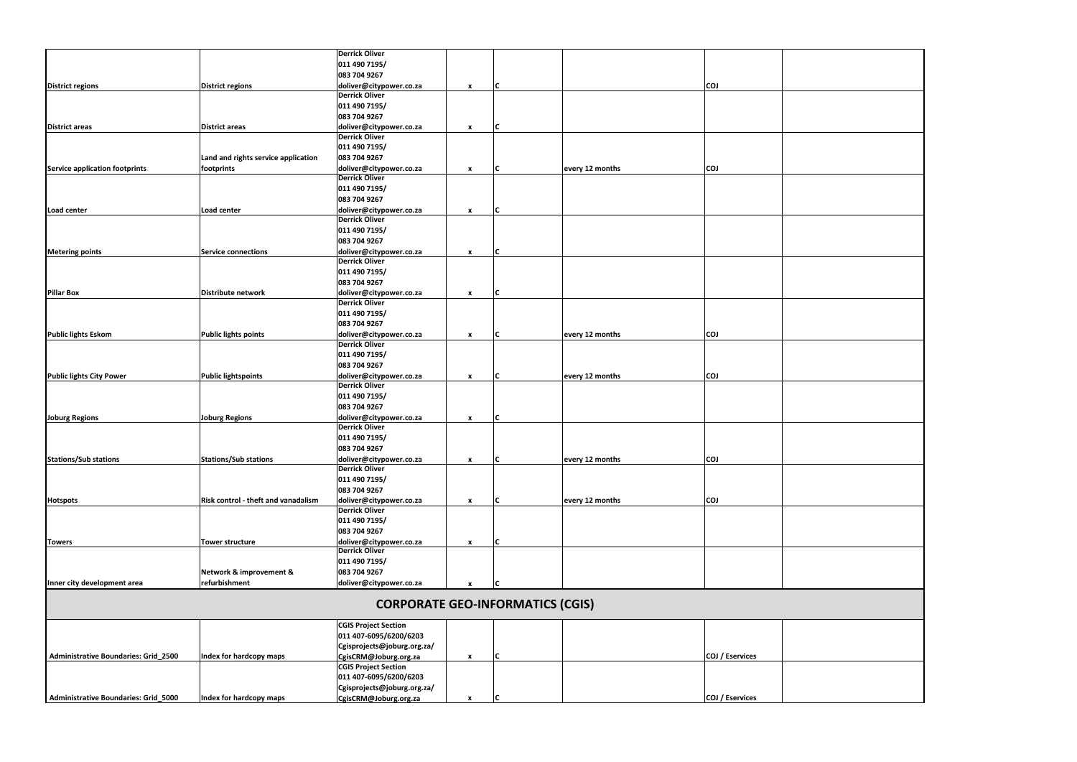|                                       |                                            | <b>Derrick Oliver</b>                            |              |   |                 |                 |  |
|---------------------------------------|--------------------------------------------|--------------------------------------------------|--------------|---|-----------------|-----------------|--|
|                                       |                                            | 011 490 7195/                                    |              |   |                 |                 |  |
|                                       |                                            | 083 704 9267                                     |              |   |                 |                 |  |
| <b>District regions</b>               | <b>District regions</b>                    | doliver@citypower.co.za                          | X            | C |                 | <b>COJ</b>      |  |
|                                       |                                            | <b>Derrick Oliver</b>                            |              |   |                 |                 |  |
|                                       |                                            | 011 490 7195/                                    |              |   |                 |                 |  |
|                                       |                                            | 083 704 9267                                     |              |   |                 |                 |  |
| <b>District areas</b>                 | <b>District areas</b>                      | doliver@citypower.co.za                          | $\pmb{\chi}$ | C |                 |                 |  |
|                                       |                                            | <b>Derrick Oliver</b>                            |              |   |                 |                 |  |
|                                       |                                            | 011 490 7195/                                    |              |   |                 |                 |  |
|                                       | Land and rights service application        | 083 704 9267                                     |              |   |                 |                 |  |
| <b>Service application footprints</b> |                                            | doliver@citypower.co.za                          |              | C | every 12 months | <b>COJ</b>      |  |
|                                       | footprints                                 | <b>Derrick Oliver</b>                            | $\pmb{\chi}$ |   |                 |                 |  |
|                                       |                                            |                                                  |              |   |                 |                 |  |
|                                       |                                            | 011 490 7195/                                    |              |   |                 |                 |  |
|                                       |                                            | 083 704 9267                                     |              |   |                 |                 |  |
| Load center                           | Load center                                | doliver@citypower.co.za                          | $\pmb{\chi}$ | C |                 |                 |  |
|                                       |                                            | <b>Derrick Oliver</b>                            |              |   |                 |                 |  |
|                                       |                                            | 011 490 7195/                                    |              |   |                 |                 |  |
|                                       |                                            | 083 704 9267                                     |              |   |                 |                 |  |
| <b>Metering points</b>                | Service connections                        | doliver@citypower.co.za                          | x            | C |                 |                 |  |
|                                       |                                            | <b>Derrick Oliver</b>                            |              |   |                 |                 |  |
|                                       |                                            | 011 490 7195/                                    |              |   |                 |                 |  |
|                                       |                                            | 083 704 9267                                     |              |   |                 |                 |  |
| <b>Pillar Box</b>                     | Distribute network                         | doliver@citypower.co.za                          | $\pmb{\chi}$ |   |                 |                 |  |
|                                       |                                            | <b>Derrick Oliver</b>                            |              |   |                 |                 |  |
|                                       |                                            | 011 490 7195/                                    |              |   |                 |                 |  |
|                                       |                                            | 083 704 9267                                     |              |   |                 |                 |  |
|                                       |                                            |                                                  |              |   |                 |                 |  |
| <b>Public lights Eskom</b>            | Public lights points                       | doliver@citypower.co.za<br><b>Derrick Oliver</b> | x            |   | every 12 months | <b>COJ</b>      |  |
|                                       |                                            |                                                  |              |   |                 |                 |  |
|                                       |                                            | 011 490 7195/                                    |              |   |                 |                 |  |
|                                       |                                            | 083 704 9267                                     |              |   |                 |                 |  |
| <b>Public lights City Power</b>       | <b>Public lightspoints</b>                 | doliver@citypower.co.za                          | $\pmb{\chi}$ | C | every 12 months | <b>COJ</b>      |  |
|                                       |                                            | <b>Derrick Oliver</b>                            |              |   |                 |                 |  |
|                                       |                                            | 011 490 7195/                                    |              |   |                 |                 |  |
|                                       |                                            | 083 704 9267                                     |              |   |                 |                 |  |
| <b>Joburg Regions</b>                 | <b>Joburg Regions</b>                      | doliver@citypower.co.za                          | $\pmb{\chi}$ | C |                 |                 |  |
|                                       |                                            | <b>Derrick Oliver</b>                            |              |   |                 |                 |  |
|                                       |                                            | 011 490 7195/                                    |              |   |                 |                 |  |
|                                       |                                            | 083 704 9267                                     |              |   |                 |                 |  |
| <b>Stations/Sub stations</b>          | Stations/Sub stations                      | doliver@citypower.co.za                          | $\pmb{\chi}$ | C | every 12 months | <b>COJ</b>      |  |
|                                       |                                            | <b>Derrick Oliver</b>                            |              |   |                 |                 |  |
|                                       |                                            | 011 490 7195/                                    |              |   |                 |                 |  |
|                                       |                                            | 083 704 9267                                     |              |   |                 |                 |  |
| <b>Hotspots</b>                       | <b>Risk control - theft and vanadalism</b> | doliver@citypower.co.za                          |              | C | every 12 months | <b>COJ</b>      |  |
|                                       |                                            | <b>Derrick Oliver</b>                            | $\pmb{\chi}$ |   |                 |                 |  |
|                                       |                                            |                                                  |              |   |                 |                 |  |
|                                       |                                            | 011 490 7195/                                    |              |   |                 |                 |  |
|                                       |                                            | 083 704 9267                                     |              |   |                 |                 |  |
| <b>Towers</b>                         | <b>Tower structure</b>                     | doliver@citypower.co.za                          | $\pmb{\chi}$ | C |                 |                 |  |
|                                       |                                            | <b>Derrick Oliver</b>                            |              |   |                 |                 |  |
|                                       |                                            | 011 490 7195/                                    |              |   |                 |                 |  |
|                                       | Network & improvement &                    | 083 704 9267                                     |              |   |                 |                 |  |
| Inner city development area           | refurbishment                              | doliver@citypower.co.za                          | $\pmb{\chi}$ |   |                 |                 |  |
|                                       |                                            |                                                  |              |   |                 |                 |  |
|                                       |                                            | <b>CORPORATE GEO-INFORMATICS (CGIS)</b>          |              |   |                 |                 |  |
|                                       |                                            | <b>CGIS Project Section</b>                      |              |   |                 |                 |  |
|                                       |                                            | 011 407-6095/6200/6203                           |              |   |                 |                 |  |
|                                       |                                            |                                                  |              |   |                 |                 |  |
|                                       |                                            | Cgisprojects@joburg.org.za/                      |              |   |                 |                 |  |
| Administrative Boundaries: Grid_2500  | Index for hardcopy maps                    | CgisCRM@Joburg.org.za                            | x            |   |                 | COJ / Eservices |  |
|                                       |                                            | <b>CGIS Project Section</b>                      |              |   |                 |                 |  |
|                                       |                                            | 011 407-6095/6200/6203                           |              |   |                 |                 |  |
|                                       |                                            | Cgisprojects@joburg.org.za/                      |              |   |                 |                 |  |
| Administrative Boundaries: Grid_5000  | Index for hardcopy maps                    | CgisCRM@Joburg.org.za                            | x            |   |                 | COJ / Eservices |  |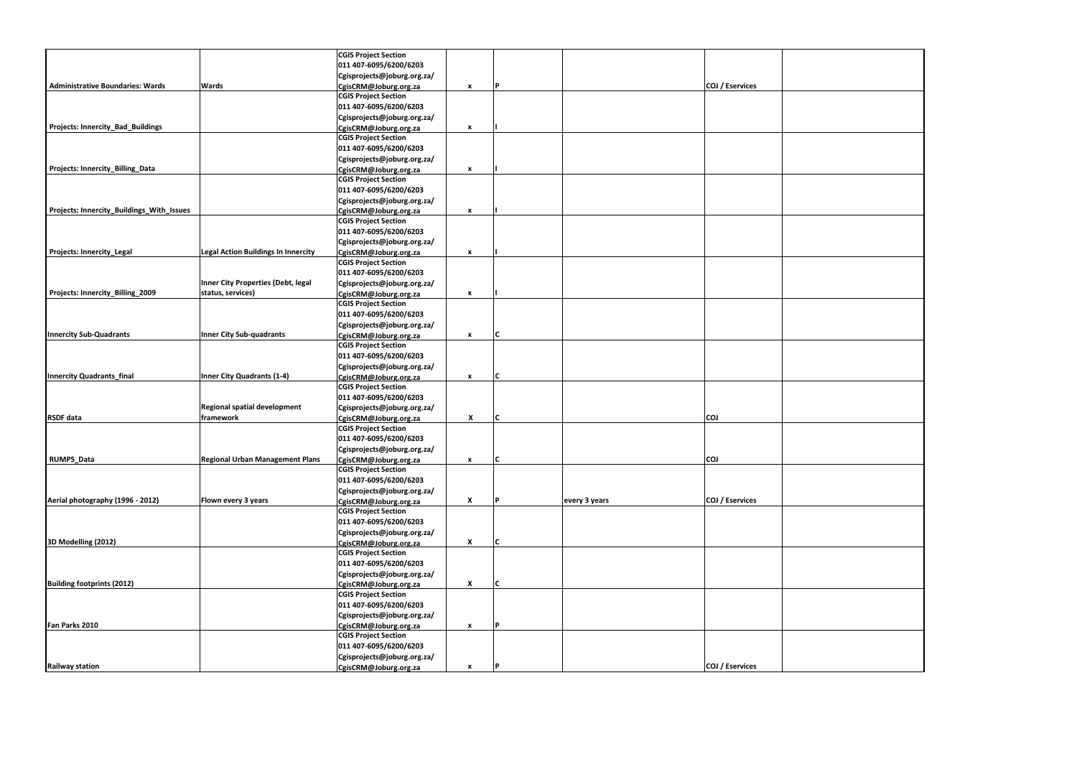|                                           |                                            | <b>CGIS Project Section</b>                          |              |   |               |                 |  |
|-------------------------------------------|--------------------------------------------|------------------------------------------------------|--------------|---|---------------|-----------------|--|
|                                           |                                            | 011 407-6095/6200/6203                               |              |   |               |                 |  |
|                                           |                                            | Cgisprojects@joburg.org.za/                          |              |   |               |                 |  |
| <b>Administrative Boundaries: Wards</b>   | Wards                                      | CgisCRM@Joburg.org.za                                | $\mathbf{x}$ | P |               | COJ / Eservices |  |
|                                           |                                            | <b>CGIS Project Section</b>                          |              |   |               |                 |  |
|                                           |                                            | 011 407-6095/6200/6203                               |              |   |               |                 |  |
|                                           |                                            | Cgisprojects@joburg.org.za/                          |              |   |               |                 |  |
| Projects: Innercity_Bad_Buildings         |                                            | CgisCRM@Joburg.org.za                                | $\pmb{\chi}$ |   |               |                 |  |
|                                           |                                            | <b>CGIS Project Section</b>                          |              |   |               |                 |  |
|                                           |                                            | 011 407-6095/6200/6203                               |              |   |               |                 |  |
|                                           |                                            | Cgisprojects@joburg.org.za/                          |              |   |               |                 |  |
| Projects: Innercity_Billing_Data          |                                            | CgisCRM@Joburg.org.za                                | $\pmb{\chi}$ |   |               |                 |  |
|                                           |                                            | <b>CGIS Project Section</b>                          |              |   |               |                 |  |
|                                           |                                            | 011 407-6095/6200/6203                               |              |   |               |                 |  |
|                                           |                                            | Cgisprojects@joburg.org.za/                          |              |   |               |                 |  |
| Projects: Innercity_Buildings_With_Issues |                                            | CgisCRM@Joburg.org.za                                | x            |   |               |                 |  |
|                                           |                                            | <b>CGIS Project Section</b>                          |              |   |               |                 |  |
|                                           |                                            | 011 407-6095/6200/6203                               |              |   |               |                 |  |
|                                           |                                            | Cgisprojects@joburg.org.za/                          |              |   |               |                 |  |
| <b>Projects: Innercity_Legal</b>          | <b>Legal Action Buildings In Innercity</b> |                                                      | $\mathbf{x}$ |   |               |                 |  |
|                                           |                                            | CgisCRM@Joburg.org.za<br><b>CGIS Project Section</b> |              |   |               |                 |  |
|                                           |                                            | 011 407-6095/6200/6203                               |              |   |               |                 |  |
|                                           | Inner City Properties (Debt, legal         |                                                      |              |   |               |                 |  |
|                                           |                                            | Cgisprojects@joburg.org.za/                          |              |   |               |                 |  |
| Projects: Innercity_Billing_2009          | status, services)                          | CgisCRM@Joburg.org.za                                | $\mathbf{x}$ |   |               |                 |  |
|                                           |                                            | <b>CGIS Project Section</b>                          |              |   |               |                 |  |
|                                           |                                            | 011 407-6095/6200/6203                               |              |   |               |                 |  |
|                                           |                                            | Cgisprojects@joburg.org.za/                          |              |   |               |                 |  |
| <b>Innercity Sub-Quadrants</b>            | <b>Inner City Sub-quadrants</b>            | CgisCRM@Joburg.org.za                                | x            | C |               |                 |  |
|                                           |                                            | <b>CGIS Project Section</b>                          |              |   |               |                 |  |
|                                           |                                            | 011 407-6095/6200/6203                               |              |   |               |                 |  |
|                                           |                                            | Cgisprojects@joburg.org.za/                          |              |   |               |                 |  |
| <b>Innercity Quadrants_final</b>          | Inner City Quadrants (1-4)                 | CgisCRM@Joburg.org.za                                | $\mathbf{x}$ | C |               |                 |  |
|                                           |                                            | <b>CGIS Project Section</b>                          |              |   |               |                 |  |
|                                           |                                            | 011 407-6095/6200/6203                               |              |   |               |                 |  |
|                                           | Regional spatial development               | Cgisprojects@joburg.org.za/                          |              |   |               |                 |  |
| <b>RSDF</b> data                          | framework                                  | CgisCRM@Joburg.org.za                                | X            | C |               | <b>COJ</b>      |  |
|                                           |                                            | <b>CGIS Project Section</b>                          |              |   |               |                 |  |
|                                           |                                            | 011 407-6095/6200/6203                               |              |   |               |                 |  |
|                                           |                                            | Cgisprojects@joburg.org.za/                          |              |   |               |                 |  |
| <b>RUMPS_Data</b>                         | <b>Regional Urban Management Plans</b>     | CgisCRM@Joburg.org.za                                | $\pmb{\chi}$ | C |               | <b>COJ</b>      |  |
|                                           |                                            | <b>CGIS Project Section</b>                          |              |   |               |                 |  |
|                                           |                                            | 011 407-6095/6200/6203                               |              |   |               |                 |  |
|                                           |                                            | Cgisprojects@joburg.org.za/                          |              |   |               |                 |  |
| Aerial photography (1996 - 2012)          | Flown every 3 years                        | CgisCRM@Joburg.org.za                                | X            | P | every 3 years | COJ / Eservices |  |
|                                           |                                            | <b>CGIS Project Section</b>                          |              |   |               |                 |  |
|                                           |                                            | 011 407-6095/6200/6203                               |              |   |               |                 |  |
|                                           |                                            | Cgisprojects@joburg.org.za/                          |              |   |               |                 |  |
| 3D Modelling (2012)                       |                                            | CgisCRM@Joburg.org.za                                | X            | C |               |                 |  |
|                                           |                                            | <b>CGIS Project Section</b>                          |              |   |               |                 |  |
|                                           |                                            | 011 407-6095/6200/6203                               |              |   |               |                 |  |
|                                           |                                            | Cgisprojects@joburg.org.za/                          |              |   |               |                 |  |
| <b>Building footprints (2012)</b>         |                                            | CgisCRM@Joburg.org.za                                | X            | C |               |                 |  |
|                                           |                                            | <b>CGIS Project Section</b>                          |              |   |               |                 |  |
|                                           |                                            | 011 407-6095/6200/6203                               |              |   |               |                 |  |
|                                           |                                            | Cgisprojects@joburg.org.za/                          |              |   |               |                 |  |
| Fan Parks 2010                            |                                            |                                                      |              | P |               |                 |  |
|                                           |                                            | CgisCRM@Joburg.org.za<br><b>CGIS Project Section</b> | $\pmb{\chi}$ |   |               |                 |  |
|                                           |                                            |                                                      |              |   |               |                 |  |
|                                           |                                            | 011 407-6095/6200/6203                               |              |   |               |                 |  |
|                                           |                                            | Cgisprojects@joburg.org.za/                          |              |   |               |                 |  |
| <b>Railway station</b>                    |                                            | CgisCRM@Joburg.org.za                                | $\mathbf{x}$ | P |               | COJ / Eservices |  |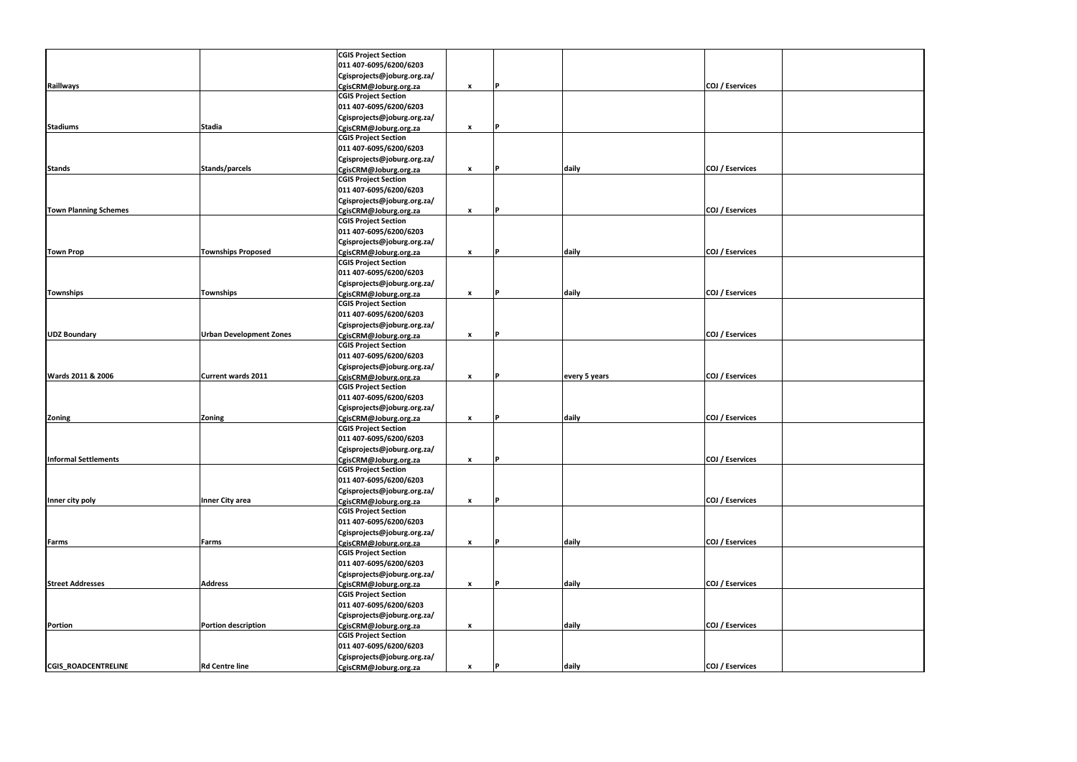|                              |                                | <b>CGIS Project Section</b> |                    |          |               |                 |  |
|------------------------------|--------------------------------|-----------------------------|--------------------|----------|---------------|-----------------|--|
|                              |                                | 011 407-6095/6200/6203      |                    |          |               |                 |  |
|                              |                                | Cgisprojects@joburg.org.za/ |                    |          |               |                 |  |
| <b>Raillways</b>             |                                | CgisCRM@Joburg.org.za       | $\mathbf{x}$       | IP.      |               | COJ / Eservices |  |
|                              |                                | <b>CGIS Project Section</b> |                    |          |               |                 |  |
|                              |                                | 011 407-6095/6200/6203      |                    |          |               |                 |  |
|                              |                                | Cgisprojects@joburg.org.za/ |                    |          |               |                 |  |
| <b>Stadiums</b>              | <b>Stadia</b>                  | CgisCRM@Joburg.org.za       | x                  | P        |               |                 |  |
|                              |                                | <b>CGIS Project Section</b> |                    |          |               |                 |  |
|                              |                                | 011 407-6095/6200/6203      |                    |          |               |                 |  |
|                              |                                |                             |                    |          |               |                 |  |
|                              |                                | Cgisprojects@joburg.org.za/ |                    |          |               |                 |  |
| <b>Stands</b>                | Stands/parcels                 | CgisCRM@Joburg.org.za       | X                  | IP.      | daily         | COJ / Eservices |  |
|                              |                                | <b>CGIS Project Section</b> |                    |          |               |                 |  |
|                              |                                | 011 407-6095/6200/6203      |                    |          |               |                 |  |
|                              |                                | Cgisprojects@joburg.org.za/ |                    |          |               |                 |  |
| <b>Town Planning Schemes</b> |                                | CgisCRM@Joburg.org.za       | x                  | <b>P</b> |               | COJ / Eservices |  |
|                              |                                | <b>CGIS Project Section</b> |                    |          |               |                 |  |
|                              |                                | 011 407-6095/6200/6203      |                    |          |               |                 |  |
|                              |                                | Cgisprojects@joburg.org.za/ |                    |          |               |                 |  |
| <b>Town Prop</b>             | <b>Townships Proposed</b>      | CgisCRM@Joburg.org.za       | $\mathbf{x}$       | P        | daily         | COJ / Eservices |  |
|                              |                                | <b>CGIS Project Section</b> |                    |          |               |                 |  |
|                              |                                | 011 407-6095/6200/6203      |                    |          |               |                 |  |
|                              |                                | Cgisprojects@joburg.org.za/ |                    |          |               |                 |  |
| <b>Townships</b>             | <b>Townships</b>               | CgisCRM@Joburg.org.za       | x                  |          | daily         | COJ / Eservices |  |
|                              |                                | <b>CGIS Project Section</b> |                    |          |               |                 |  |
|                              |                                | 011 407-6095/6200/6203      |                    |          |               |                 |  |
|                              |                                | Cgisprojects@joburg.org.za/ |                    |          |               |                 |  |
| <b>UDZ Boundary</b>          | <b>Urban Development Zones</b> | CgisCRM@Joburg.org.za       | x                  | P        |               | COJ / Eservices |  |
|                              |                                | <b>CGIS Project Section</b> |                    |          |               |                 |  |
|                              |                                |                             |                    |          |               |                 |  |
|                              |                                | 011 407-6095/6200/6203      |                    |          |               |                 |  |
|                              |                                | Cgisprojects@joburg.org.za/ |                    |          |               |                 |  |
| Wards 2011 & 2006            | <b>Current wards 2011</b>      | CgisCRM@Joburg.org.za       | x                  | P        | every 5 years | COJ / Eservices |  |
|                              |                                | <b>CGIS Project Section</b> |                    |          |               |                 |  |
|                              |                                | 011 407-6095/6200/6203      |                    |          |               |                 |  |
|                              |                                | Cgisprojects@joburg.org.za/ |                    |          |               |                 |  |
| Zoning                       | Zoning                         | CgisCRM@Joburg.org.za       | x                  | IР.      | daily         | COJ / Eservices |  |
|                              |                                | <b>CGIS Project Section</b> |                    |          |               |                 |  |
|                              |                                | 011 407-6095/6200/6203      |                    |          |               |                 |  |
|                              |                                | Cgisprojects@joburg.org.za/ |                    |          |               |                 |  |
| <b>Informal Settlements</b>  |                                | CgisCRM@Joburg.org.za       | $\pmb{\chi}$       | P        |               | COJ / Eservices |  |
|                              |                                | <b>CGIS Project Section</b> |                    |          |               |                 |  |
|                              |                                | 011 407-6095/6200/6203      |                    |          |               |                 |  |
|                              |                                | Cgisprojects@joburg.org.za/ |                    |          |               |                 |  |
| Inner city poly              | <b>Inner City area</b>         | CgisCRM@Joburg.org.za       | X                  | P        |               | COJ / Eservices |  |
|                              |                                | <b>CGIS Project Section</b> |                    |          |               |                 |  |
|                              |                                | 011 407-6095/6200/6203      |                    |          |               |                 |  |
|                              |                                |                             |                    |          |               |                 |  |
|                              |                                | Cgisprojects@joburg.org.za/ |                    |          |               |                 |  |
| Farms                        | Farms                          | CgisCRM@Joburg.org.za       | $\mathbf{x}$       |          | daily         | COJ / Eservices |  |
|                              |                                | <b>CGIS Project Section</b> |                    |          |               |                 |  |
|                              |                                | 011 407-6095/6200/6203      |                    |          |               |                 |  |
|                              |                                | Cgisprojects@joburg.org.za/ |                    |          |               |                 |  |
| <b>Street Addresses</b>      | <b>Address</b>                 | CgisCRM@Joburg.org.za       | x                  |          | daily         | COJ / Eservices |  |
|                              |                                | <b>CGIS Project Section</b> |                    |          |               |                 |  |
|                              |                                | 011 407-6095/6200/6203      |                    |          |               |                 |  |
|                              |                                | Cgisprojects@joburg.org.za/ |                    |          |               |                 |  |
| <b>Portion</b>               | <b>Portion description</b>     | CgisCRM@Joburg.org.za       | X                  |          | daily         | COJ / Eservices |  |
|                              |                                | <b>CGIS Project Section</b> |                    |          |               |                 |  |
|                              |                                | 011 407-6095/6200/6203      |                    |          |               |                 |  |
|                              |                                | Cgisprojects@joburg.org.za/ |                    |          |               |                 |  |
| <b>CGIS_ROADCENTRELINE</b>   | <b>Rd Centre line</b>          | CgisCRM@Joburg.org.za       | $\pmb{\mathsf{x}}$ | P        | daily         | COJ / Eservices |  |
|                              |                                |                             |                    |          |               |                 |  |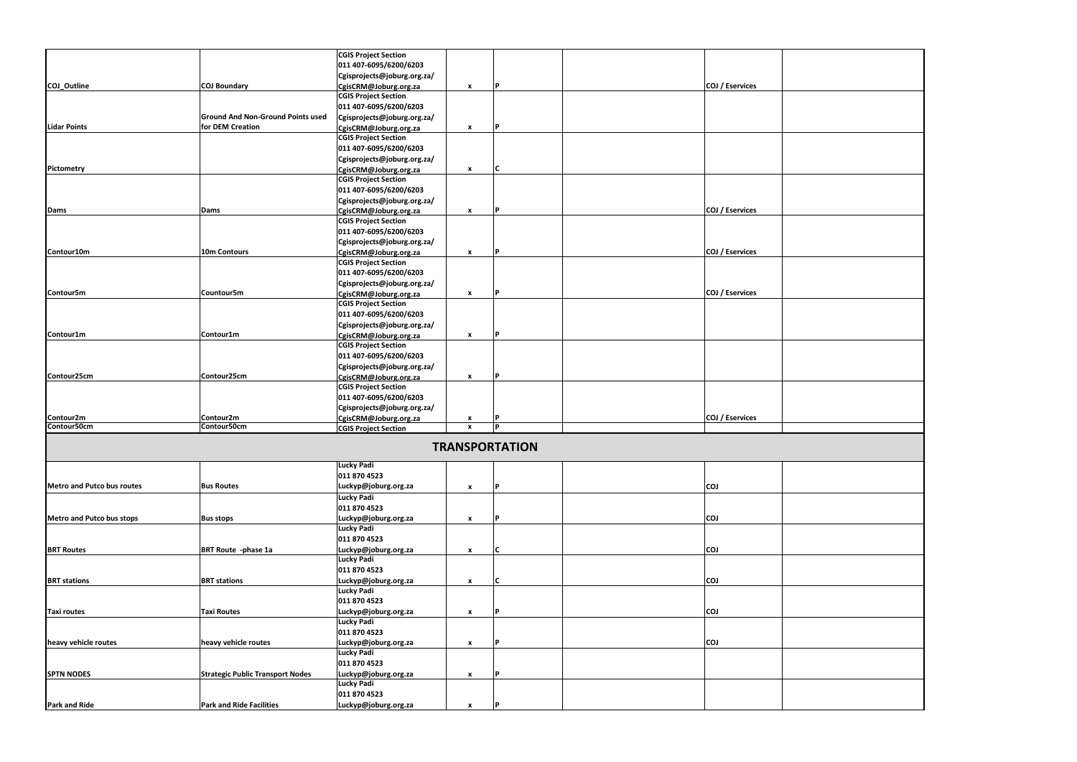|                            |                                          | <b>CGIS Project Section</b> |                           |                       |                 |  |
|----------------------------|------------------------------------------|-----------------------------|---------------------------|-----------------------|-----------------|--|
|                            |                                          | 011 407-6095/6200/6203      |                           |                       |                 |  |
|                            |                                          | Cgisprojects@joburg.org.za/ |                           |                       |                 |  |
| COJ Outline                | <b>COJ Boundary</b>                      | CgisCRM@Joburg.org.za       | $\mathbf{x}$              | ΙP                    | COJ / Eservices |  |
|                            |                                          | <b>CGIS Project Section</b> |                           |                       |                 |  |
|                            |                                          | 011 407-6095/6200/6203      |                           |                       |                 |  |
|                            | <b>Ground And Non-Ground Points used</b> | Cgisprojects@joburg.org.za/ |                           |                       |                 |  |
| <b>Lidar Points</b>        | for DEM Creation                         | CgisCRM@Joburg.org.za       | x                         | l P                   |                 |  |
|                            |                                          | <b>CGIS Project Section</b> |                           |                       |                 |  |
|                            |                                          | 011 407-6095/6200/6203      |                           |                       |                 |  |
|                            |                                          |                             |                           |                       |                 |  |
|                            |                                          | Cgisprojects@joburg.org.za/ |                           |                       |                 |  |
| Pictometry                 |                                          | CgisCRM@Joburg.org.za       | $\pmb{\chi}$              | IС                    |                 |  |
|                            |                                          | <b>CGIS Project Section</b> |                           |                       |                 |  |
|                            |                                          | 011 407-6095/6200/6203      |                           |                       |                 |  |
|                            |                                          | Cgisprojects@joburg.org.za/ |                           |                       |                 |  |
| Dams                       | Dams                                     | CgisCRM@Joburg.org.za       | x                         | l p                   | COJ / Eservices |  |
|                            |                                          | <b>CGIS Project Section</b> |                           |                       |                 |  |
|                            |                                          | 011 407-6095/6200/6203      |                           |                       |                 |  |
|                            |                                          | Cgisprojects@joburg.org.za/ |                           |                       |                 |  |
| Contour10m                 | 10m Contours                             | CgisCRM@Joburg.org.za       | x                         | l p                   | COJ / Eservices |  |
|                            |                                          | <b>CGIS Project Section</b> |                           |                       |                 |  |
|                            |                                          | 011 407-6095/6200/6203      |                           |                       |                 |  |
|                            |                                          | Cgisprojects@joburg.org.za/ |                           |                       |                 |  |
| Contour5m                  | Countour5m                               | CgisCRM@Joburg.org.za       | $\mathbf{x}$              |                       | COJ / Eservices |  |
|                            |                                          | <b>CGIS Project Section</b> |                           |                       |                 |  |
|                            |                                          |                             |                           |                       |                 |  |
|                            |                                          | 011 407-6095/6200/6203      |                           |                       |                 |  |
|                            |                                          | Cgisprojects@joburg.org.za/ |                           |                       |                 |  |
| Contour1m                  | Contour1m                                | CgisCRM@Joburg.org.za       | x                         | D                     |                 |  |
|                            |                                          | <b>CGIS Project Section</b> |                           |                       |                 |  |
|                            |                                          | 011 407-6095/6200/6203      |                           |                       |                 |  |
|                            |                                          | Cgisprojects@joburg.org.za/ |                           |                       |                 |  |
| Contour25cm                | Contour25cm                              | CgisCRM@Joburg.org.za       | $\pmb{\chi}$              | ΙP                    |                 |  |
|                            |                                          | <b>CGIS Project Section</b> |                           |                       |                 |  |
|                            |                                          | 011 407-6095/6200/6203      |                           |                       |                 |  |
|                            |                                          | Cgisprojects@joburg.org.za/ |                           |                       |                 |  |
| Contour2m                  | Contour2m                                | CgisCRM@Joburg.org.za       | x                         |                       | COJ / Eservices |  |
| Contour50cm                | Contour50cm                              | <b>CGIS Project Section</b> | $\boldsymbol{\mathsf{x}}$ | l p                   |                 |  |
|                            |                                          |                             |                           |                       |                 |  |
|                            |                                          |                             |                           | <b>TRANSPORTATION</b> |                 |  |
|                            |                                          | Lucky Padi                  |                           |                       |                 |  |
|                            |                                          | 011 870 4523                |                           |                       |                 |  |
| Metro and Putco bus routes | <b>Bus Routes</b>                        | Luckyp@joburg.org.za        | X                         | l P                   | <b>COJ</b>      |  |
|                            |                                          | <b>Lucky Padi</b>           |                           |                       |                 |  |
|                            |                                          | 011 870 4523                |                           |                       |                 |  |
| Metro and Putco bus stops  |                                          | Luckyp@joburg.org.za        |                           |                       | <b>COJ</b>      |  |
|                            | <b>Bus stops</b>                         | <b>Lucky Padi</b>           | x                         |                       |                 |  |
|                            |                                          |                             |                           |                       |                 |  |
|                            |                                          | 011 870 4523                |                           |                       |                 |  |
| <b>BRT Routes</b>          | <b>BRT Route -phase 1a</b>               | Luckyp@joburg.org.za        | X                         | IС                    | <b>COJ</b>      |  |
|                            |                                          | <b>Lucky Padi</b>           |                           |                       |                 |  |
|                            |                                          | 011 870 4523                |                           |                       |                 |  |
| <b>BRT</b> stations        | <b>BRT</b> stations                      | Luckyp@joburg.org.za        | X                         | IC.                   | COJ             |  |
|                            |                                          | <b>Lucky Padi</b>           |                           |                       |                 |  |
|                            |                                          | 011 870 4523                |                           |                       |                 |  |
| <b>Taxi routes</b>         | <b>Taxi Routes</b>                       | Luckyp@joburg.org.za        | x                         | l P                   | <b>COJ</b>      |  |
|                            |                                          | <b>Lucky Padi</b>           |                           |                       |                 |  |
|                            |                                          | 011 870 4523                |                           |                       |                 |  |
| heavy vehicle routes       | heavy vehicle routes                     | Luckyp@joburg.org.za        | X                         | IP.                   | <b>CO1</b>      |  |
|                            |                                          | <b>Lucky Padi</b>           |                           |                       |                 |  |
|                            |                                          |                             |                           |                       |                 |  |
|                            |                                          | 011 870 4523                |                           |                       |                 |  |
| <b>SPTN NODES</b>          | <b>Strategic Public Transport Nodes</b>  | Luckyp@joburg.org.za        | X                         | ΙP                    |                 |  |
|                            |                                          | <b>Lucky Padi</b>           |                           |                       |                 |  |
|                            |                                          | 011 870 4523                |                           |                       |                 |  |
| Park and Ride              | <b>Park and Ride Facilities</b>          | Luckyp@joburg.org.za        | $\pmb{\mathsf{x}}$        |                       |                 |  |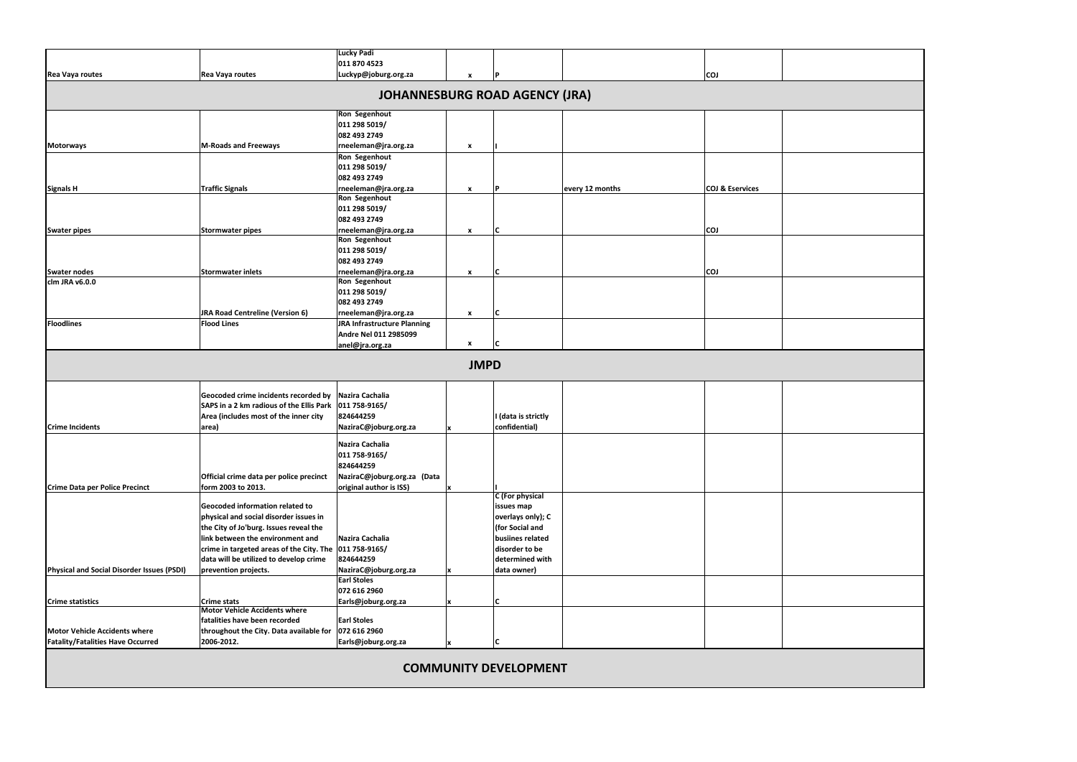| JRA Road Centreline (Version 6)                                                                | <b>Lucky Padi</b><br>011 870 4523<br>Luckyp@joburg.org.za<br><b>Ron Segenhout</b><br>011 298 5019/<br>082 493 2749<br>rneeleman@jra.org.za<br><b>Ron Segenhout</b><br>011 298 5019/<br>082 493 2749<br>rneeleman@jra.org.za<br><b>Ron Segenhout</b><br>011 298 5019/<br>082 493 2749<br>rneeleman@jra.org.za<br><b>Ron Segenhout</b><br>011 298 5019/<br>082 493 2749<br>rneeleman@jra.org.za<br><b>Ron Segenhout</b><br>011 298 5019/ | $\boldsymbol{x}$<br>$\pmb{\chi}$<br>$\pmb{\times}$<br>X<br>$\pmb{\chi}$                                                                                                                                                                   | D<br><b>JOHANNESBURG ROAD AGENCY (JRA)</b><br>Þ<br>١C | every 12 months                                                                                                                                    | <b>COJ</b><br><b>COJ &amp; Eservices</b><br><b>COJ</b> |  |
|------------------------------------------------------------------------------------------------|----------------------------------------------------------------------------------------------------------------------------------------------------------------------------------------------------------------------------------------------------------------------------------------------------------------------------------------------------------------------------------------------------------------------------------------|-------------------------------------------------------------------------------------------------------------------------------------------------------------------------------------------------------------------------------------------|-------------------------------------------------------|----------------------------------------------------------------------------------------------------------------------------------------------------|--------------------------------------------------------|--|
|                                                                                                |                                                                                                                                                                                                                                                                                                                                                                                                                                        |                                                                                                                                                                                                                                           |                                                       |                                                                                                                                                    |                                                        |  |
|                                                                                                |                                                                                                                                                                                                                                                                                                                                                                                                                                        |                                                                                                                                                                                                                                           |                                                       |                                                                                                                                                    |                                                        |  |
|                                                                                                |                                                                                                                                                                                                                                                                                                                                                                                                                                        |                                                                                                                                                                                                                                           |                                                       |                                                                                                                                                    |                                                        |  |
|                                                                                                |                                                                                                                                                                                                                                                                                                                                                                                                                                        |                                                                                                                                                                                                                                           |                                                       |                                                                                                                                                    |                                                        |  |
|                                                                                                |                                                                                                                                                                                                                                                                                                                                                                                                                                        |                                                                                                                                                                                                                                           |                                                       |                                                                                                                                                    |                                                        |  |
|                                                                                                |                                                                                                                                                                                                                                                                                                                                                                                                                                        |                                                                                                                                                                                                                                           |                                                       |                                                                                                                                                    |                                                        |  |
|                                                                                                |                                                                                                                                                                                                                                                                                                                                                                                                                                        |                                                                                                                                                                                                                                           |                                                       |                                                                                                                                                    |                                                        |  |
|                                                                                                |                                                                                                                                                                                                                                                                                                                                                                                                                                        |                                                                                                                                                                                                                                           |                                                       |                                                                                                                                                    |                                                        |  |
|                                                                                                |                                                                                                                                                                                                                                                                                                                                                                                                                                        |                                                                                                                                                                                                                                           |                                                       |                                                                                                                                                    |                                                        |  |
|                                                                                                |                                                                                                                                                                                                                                                                                                                                                                                                                                        |                                                                                                                                                                                                                                           |                                                       |                                                                                                                                                    |                                                        |  |
|                                                                                                |                                                                                                                                                                                                                                                                                                                                                                                                                                        |                                                                                                                                                                                                                                           |                                                       |                                                                                                                                                    |                                                        |  |
|                                                                                                |                                                                                                                                                                                                                                                                                                                                                                                                                                        |                                                                                                                                                                                                                                           |                                                       |                                                                                                                                                    |                                                        |  |
|                                                                                                |                                                                                                                                                                                                                                                                                                                                                                                                                                        |                                                                                                                                                                                                                                           |                                                       |                                                                                                                                                    |                                                        |  |
|                                                                                                |                                                                                                                                                                                                                                                                                                                                                                                                                                        |                                                                                                                                                                                                                                           |                                                       |                                                                                                                                                    |                                                        |  |
|                                                                                                |                                                                                                                                                                                                                                                                                                                                                                                                                                        |                                                                                                                                                                                                                                           |                                                       |                                                                                                                                                    |                                                        |  |
|                                                                                                |                                                                                                                                                                                                                                                                                                                                                                                                                                        |                                                                                                                                                                                                                                           |                                                       |                                                                                                                                                    |                                                        |  |
|                                                                                                |                                                                                                                                                                                                                                                                                                                                                                                                                                        |                                                                                                                                                                                                                                           |                                                       |                                                                                                                                                    |                                                        |  |
|                                                                                                |                                                                                                                                                                                                                                                                                                                                                                                                                                        |                                                                                                                                                                                                                                           |                                                       |                                                                                                                                                    |                                                        |  |
|                                                                                                |                                                                                                                                                                                                                                                                                                                                                                                                                                        |                                                                                                                                                                                                                                           |                                                       |                                                                                                                                                    |                                                        |  |
|                                                                                                |                                                                                                                                                                                                                                                                                                                                                                                                                                        |                                                                                                                                                                                                                                           | C                                                     |                                                                                                                                                    | <b>COJ</b>                                             |  |
|                                                                                                |                                                                                                                                                                                                                                                                                                                                                                                                                                        |                                                                                                                                                                                                                                           |                                                       |                                                                                                                                                    |                                                        |  |
|                                                                                                |                                                                                                                                                                                                                                                                                                                                                                                                                                        |                                                                                                                                                                                                                                           |                                                       |                                                                                                                                                    |                                                        |  |
|                                                                                                | 082 493 2749                                                                                                                                                                                                                                                                                                                                                                                                                           |                                                                                                                                                                                                                                           |                                                       |                                                                                                                                                    |                                                        |  |
|                                                                                                | rneeleman@jra.org.za                                                                                                                                                                                                                                                                                                                                                                                                                   | $\pmb{\chi}$                                                                                                                                                                                                                              | ١C                                                    |                                                                                                                                                    |                                                        |  |
|                                                                                                | <b>JRA Infrastructure Planning</b>                                                                                                                                                                                                                                                                                                                                                                                                     |                                                                                                                                                                                                                                           |                                                       |                                                                                                                                                    |                                                        |  |
|                                                                                                | Andre Nel 011 2985099                                                                                                                                                                                                                                                                                                                                                                                                                  |                                                                                                                                                                                                                                           |                                                       |                                                                                                                                                    |                                                        |  |
|                                                                                                | anel@jra.org.za                                                                                                                                                                                                                                                                                                                                                                                                                        | $\mathbf{x}$                                                                                                                                                                                                                              | ١C                                                    |                                                                                                                                                    |                                                        |  |
|                                                                                                |                                                                                                                                                                                                                                                                                                                                                                                                                                        | <b>JMPD</b>                                                                                                                                                                                                                               |                                                       |                                                                                                                                                    |                                                        |  |
|                                                                                                |                                                                                                                                                                                                                                                                                                                                                                                                                                        |                                                                                                                                                                                                                                           |                                                       |                                                                                                                                                    |                                                        |  |
| Geocoded crime incidents recorded by<br>SAPS in a 2 km radious of the Ellis Park 011 758-9165/ | Nazira Cachalia                                                                                                                                                                                                                                                                                                                                                                                                                        |                                                                                                                                                                                                                                           |                                                       |                                                                                                                                                    |                                                        |  |
| Area (includes most of the inner city                                                          | 824644259                                                                                                                                                                                                                                                                                                                                                                                                                              |                                                                                                                                                                                                                                           | I (data is strictly                                   |                                                                                                                                                    |                                                        |  |
|                                                                                                | NaziraC@joburg.org.za                                                                                                                                                                                                                                                                                                                                                                                                                  |                                                                                                                                                                                                                                           | confidential)                                         |                                                                                                                                                    |                                                        |  |
|                                                                                                |                                                                                                                                                                                                                                                                                                                                                                                                                                        |                                                                                                                                                                                                                                           |                                                       |                                                                                                                                                    |                                                        |  |
|                                                                                                | Nazira Cachalia                                                                                                                                                                                                                                                                                                                                                                                                                        |                                                                                                                                                                                                                                           |                                                       |                                                                                                                                                    |                                                        |  |
|                                                                                                | 011 758-9165/                                                                                                                                                                                                                                                                                                                                                                                                                          |                                                                                                                                                                                                                                           |                                                       |                                                                                                                                                    |                                                        |  |
|                                                                                                | 824644259                                                                                                                                                                                                                                                                                                                                                                                                                              |                                                                                                                                                                                                                                           |                                                       |                                                                                                                                                    |                                                        |  |
| Official crime data per police precinct                                                        | NaziraC@joburg.org.za (Data                                                                                                                                                                                                                                                                                                                                                                                                            |                                                                                                                                                                                                                                           |                                                       |                                                                                                                                                    |                                                        |  |
|                                                                                                | original author is ISS)                                                                                                                                                                                                                                                                                                                                                                                                                | x                                                                                                                                                                                                                                         |                                                       |                                                                                                                                                    |                                                        |  |
|                                                                                                |                                                                                                                                                                                                                                                                                                                                                                                                                                        |                                                                                                                                                                                                                                           |                                                       |                                                                                                                                                    |                                                        |  |
|                                                                                                |                                                                                                                                                                                                                                                                                                                                                                                                                                        |                                                                                                                                                                                                                                           |                                                       |                                                                                                                                                    |                                                        |  |
|                                                                                                |                                                                                                                                                                                                                                                                                                                                                                                                                                        |                                                                                                                                                                                                                                           |                                                       |                                                                                                                                                    |                                                        |  |
|                                                                                                |                                                                                                                                                                                                                                                                                                                                                                                                                                        |                                                                                                                                                                                                                                           |                                                       |                                                                                                                                                    |                                                        |  |
|                                                                                                |                                                                                                                                                                                                                                                                                                                                                                                                                                        |                                                                                                                                                                                                                                           |                                                       |                                                                                                                                                    |                                                        |  |
|                                                                                                |                                                                                                                                                                                                                                                                                                                                                                                                                                        |                                                                                                                                                                                                                                           |                                                       |                                                                                                                                                    |                                                        |  |
|                                                                                                |                                                                                                                                                                                                                                                                                                                                                                                                                                        |                                                                                                                                                                                                                                           |                                                       |                                                                                                                                                    |                                                        |  |
|                                                                                                |                                                                                                                                                                                                                                                                                                                                                                                                                                        |                                                                                                                                                                                                                                           |                                                       |                                                                                                                                                    |                                                        |  |
|                                                                                                |                                                                                                                                                                                                                                                                                                                                                                                                                                        |                                                                                                                                                                                                                                           |                                                       |                                                                                                                                                    |                                                        |  |
|                                                                                                |                                                                                                                                                                                                                                                                                                                                                                                                                                        |                                                                                                                                                                                                                                           |                                                       |                                                                                                                                                    |                                                        |  |
| <b>Motor Vehicle Accidents where</b>                                                           |                                                                                                                                                                                                                                                                                                                                                                                                                                        |                                                                                                                                                                                                                                           |                                                       |                                                                                                                                                    |                                                        |  |
| fatalities have been recorded                                                                  |                                                                                                                                                                                                                                                                                                                                                                                                                                        |                                                                                                                                                                                                                                           |                                                       |                                                                                                                                                    |                                                        |  |
|                                                                                                |                                                                                                                                                                                                                                                                                                                                                                                                                                        |                                                                                                                                                                                                                                           |                                                       |                                                                                                                                                    |                                                        |  |
| throughout the City. Data available for                                                        |                                                                                                                                                                                                                                                                                                                                                                                                                                        |                                                                                                                                                                                                                                           | C                                                     |                                                                                                                                                    |                                                        |  |
|                                                                                                |                                                                                                                                                                                                                                                                                                                                                                                                                                        |                                                                                                                                                                                                                                           |                                                       |                                                                                                                                                    |                                                        |  |
|                                                                                                | Geocoded information related to<br>physical and social disorder issues in<br>the City of Jo'burg. Issues reveal the<br>link between the environment and<br>data will be utilized to develop crime                                                                                                                                                                                                                                      | Nazira Cachalia<br>crime in targeted areas of the City. The 011 758-9165/<br>824644259<br>NaziraC@joburg.org.za<br><b>Earl Stoles</b><br>072 616 2960<br>Earls@joburg.org.za<br><b>Earl Stoles</b><br>072 616 2960<br>Earls@joburg.org.za |                                                       | C (For physical<br>issues map<br>overlays only); C<br>(for Social and<br>busiines related<br>disorder to be<br>determined with<br>data owner)<br>C | <b>COMMUNITY DEVELOPMENT</b>                           |  |